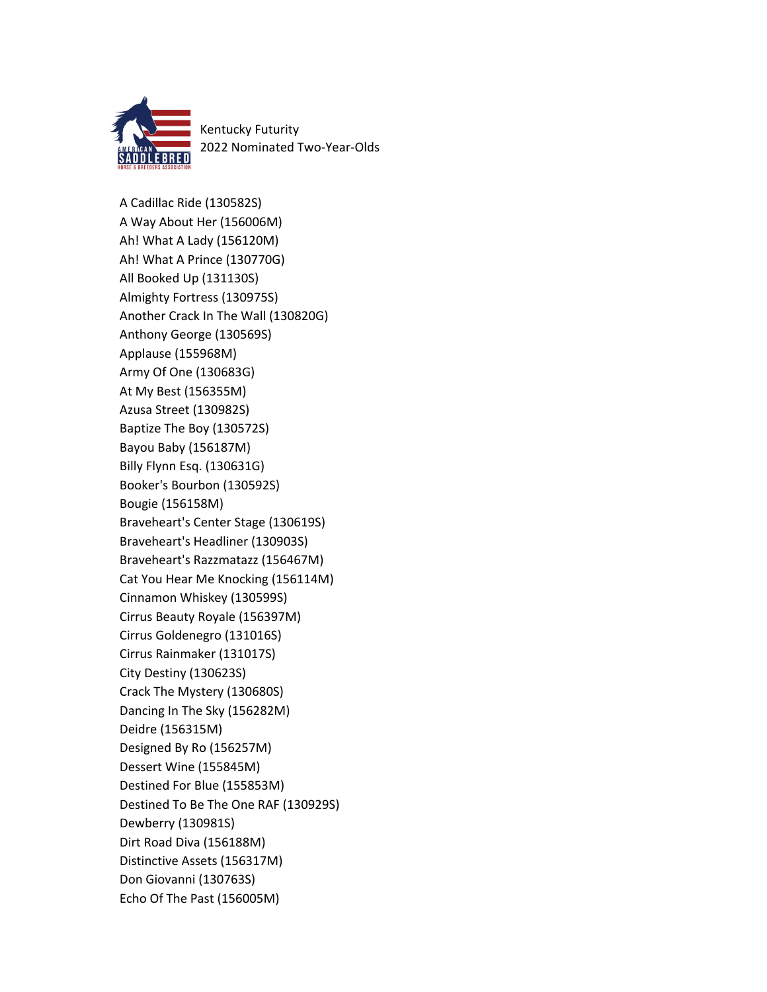

Kentucky Futurity 2022 Nominated Two-Year-Olds

A Cadillac Ride (130582S) A Way About Her (156006M) Ah! What A Lady (156120M) Ah! What A Prince (130770G) All Booked Up (131130S) Almighty Fortress (130975S) Another Crack In The Wall (130820G) Anthony George (130569S) Applause (155968M) Army Of One (130683G) At My Best (156355M) Azusa Street (130982S) Baptize The Boy (130572S) Bayou Baby (156187M) Billy Flynn Esq. (130631G) Booker's Bourbon (130592S) Bougie (156158M) Braveheart's Center Stage (130619S) Braveheart's Headliner (130903S) Braveheart's Razzmatazz (156467M) Cat You Hear Me Knocking (156114M) Cinnamon Whiskey (130599S) Cirrus Beauty Royale (156397M) Cirrus Goldenegro (131016S) Cirrus Rainmaker (131017S) City Destiny (130623S) Crack The Mystery (130680S) Dancing In The Sky (156282M) Deidre (156315M) Designed By Ro (156257M) Dessert Wine (155845M) Destined For Blue (155853M) Destined To Be The One RAF (130929S) Dewberry (130981S) Dirt Road Diva (156188M) Distinctive Assets (156317M) Don Giovanni (130763S) Echo Of The Past (156005M)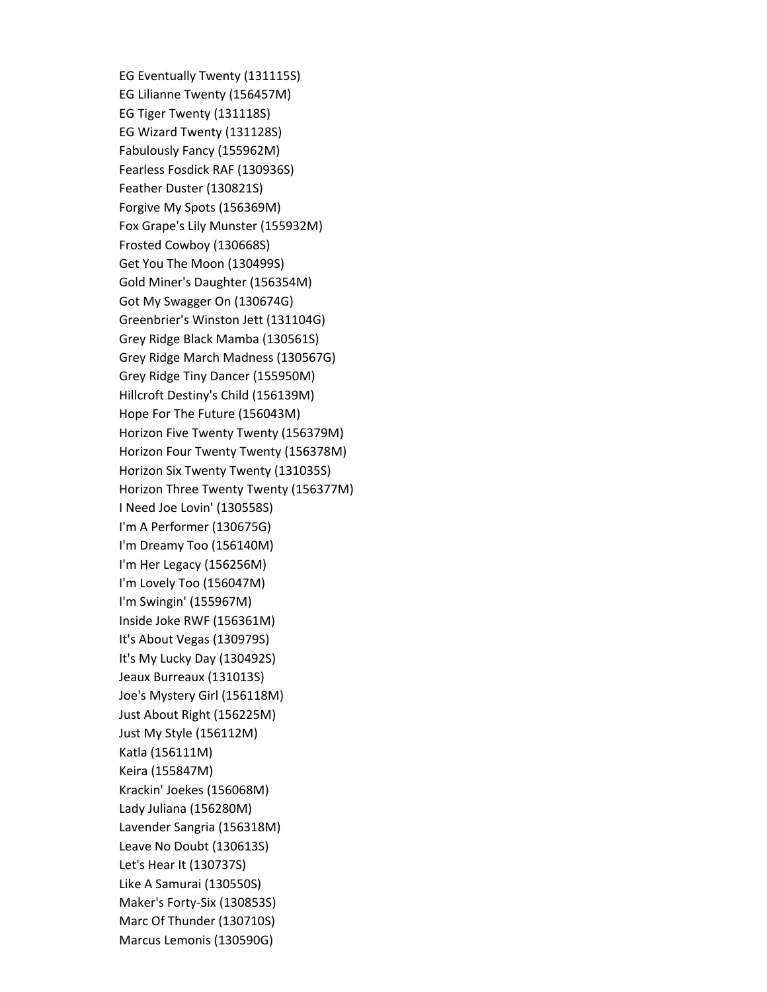EG Eventually Twenty (131115S) EG Lilianne Twenty (156457M) EG Tiger Twenty (131118S) EG Wizard Twenty (131128S) Fabulously Fancy (155962M) Fearless Fosdick RAF (130936S) Feather Duster (130821S) Forgive My Spots (156369M) Fox Grape's Lily Munster (155932M) Frosted Cowboy (130668S) Get You The Moon (130499S) Gold Miner's Daughter (156354M) Got My Swagger On (130674G) Greenbrier's Winston Jett (131104G) Grey Ridge Black Mamba (130561S) Grey Ridge March Madness (130567G) Grey Ridge Tiny Dancer (155950M) Hillcroft Destiny's Child (156139M) Hope For The Future (156043M) Horizon Five Twenty Twenty (156379M) Horizon Four Twenty Twenty (156378M) Horizon Six Twenty Twenty (131035S) Horizon Three Twenty Twenty (156377M) I Need Joe Lovin' (130558S) I'm A Performer (130675G) I'm Dreamy Too (156140M) I'm Her Legacy (156256M) I'm Lovely Too (156047M) I'm Swingin' (155967M) Inside Joke RWF (156361M) It's About Vegas (130979S) It's My Lucky Day (130492S) Jeaux Burreaux (131013S) Joe's Mystery Girl (156118M) Just About Right (156225M) Just My Style (156112M) Katla (156111M) Keira (155847M) Krackin' Joekes (156068M) Lady Juliana (156280M) Lavender Sangria (156318M) Leave No Doubt (130613S) Let's Hear It (130737S) Like A Samurai (130550S) Maker's Forty-Six (130853S) Marc Of Thunder (130710S) Marcus Lemonis (130590G)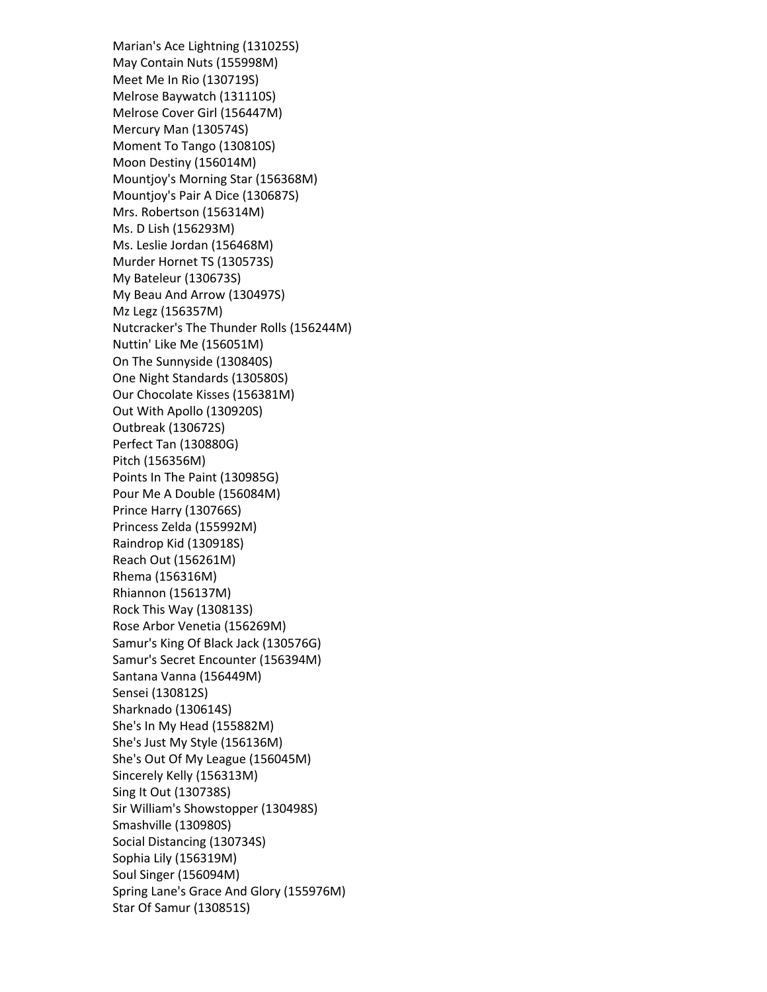Marian's Ace Lightning (131025S) May Contain Nuts (155998M) Meet Me In Rio (130719S) Melrose Baywatch (131110S) Melrose Cover Girl (156447M) Mercury Man (130574S) Moment To Tango (130810S) Moon Destiny (156014M) Mountjoy's Morning Star (156368M) Mountjoy's Pair A Dice (130687S) Mrs. Robertson (156314M) Ms. D Lish (156293M) Ms. Leslie Jordan (156468M) Murder Hornet TS (130573S) My Bateleur (130673S) My Beau And Arrow (130497S) Mz Legz (156357M) Nutcracker's The Thunder Rolls (156244M) Nuttin' Like Me (156051M) On The Sunnyside (130840S) One Night Standards (130580S) Our Chocolate Kisses (156381M) Out With Apollo (130920S) Outbreak (130672S) Perfect Tan (130880G) Pitch (156356M) Points In The Paint (130985G) Pour Me A Double (156084M) Prince Harry (130766S) Princess Zelda (155992M) Raindrop Kid (130918S) Reach Out (156261M) Rhema (156316M) Rhiannon (156137M) Rock This Way (130813S) Rose Arbor Venetia (156269M) Samur's King Of Black Jack (130576G) Samur's Secret Encounter (156394M) Santana Vanna (156449M) Sensei (130812S) Sharknado (130614S) She's In My Head (155882M) She's Just My Style (156136M) She's Out Of My League (156045M) Sincerely Kelly (156313M) Sing It Out (130738S) Sir William's Showstopper (130498S) Smashville (130980S) Social Distancing (130734S) Sophia Lily (156319M) Soul Singer (156094M) Spring Lane's Grace And Glory (155976M) Star Of Samur (130851S)